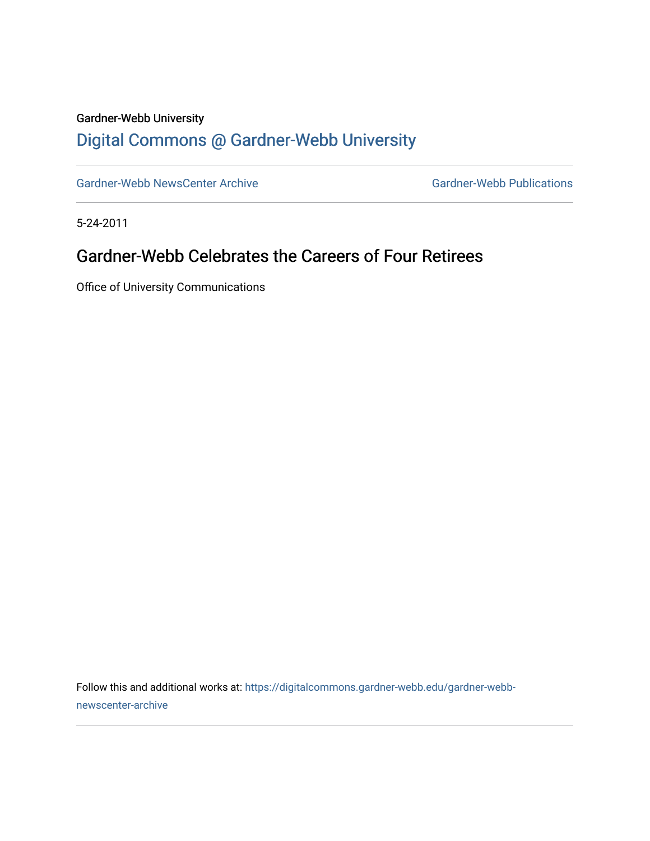#### Gardner-Webb University

## [Digital Commons @ Gardner-Webb University](https://digitalcommons.gardner-webb.edu/)

[Gardner-Webb NewsCenter Archive](https://digitalcommons.gardner-webb.edu/gardner-webb-newscenter-archive) Gardner-Webb Publications

5-24-2011

### Gardner-Webb Celebrates the Careers of Four Retirees

Office of University Communications

Follow this and additional works at: [https://digitalcommons.gardner-webb.edu/gardner-webb](https://digitalcommons.gardner-webb.edu/gardner-webb-newscenter-archive?utm_source=digitalcommons.gardner-webb.edu%2Fgardner-webb-newscenter-archive%2F2083&utm_medium=PDF&utm_campaign=PDFCoverPages)[newscenter-archive](https://digitalcommons.gardner-webb.edu/gardner-webb-newscenter-archive?utm_source=digitalcommons.gardner-webb.edu%2Fgardner-webb-newscenter-archive%2F2083&utm_medium=PDF&utm_campaign=PDFCoverPages)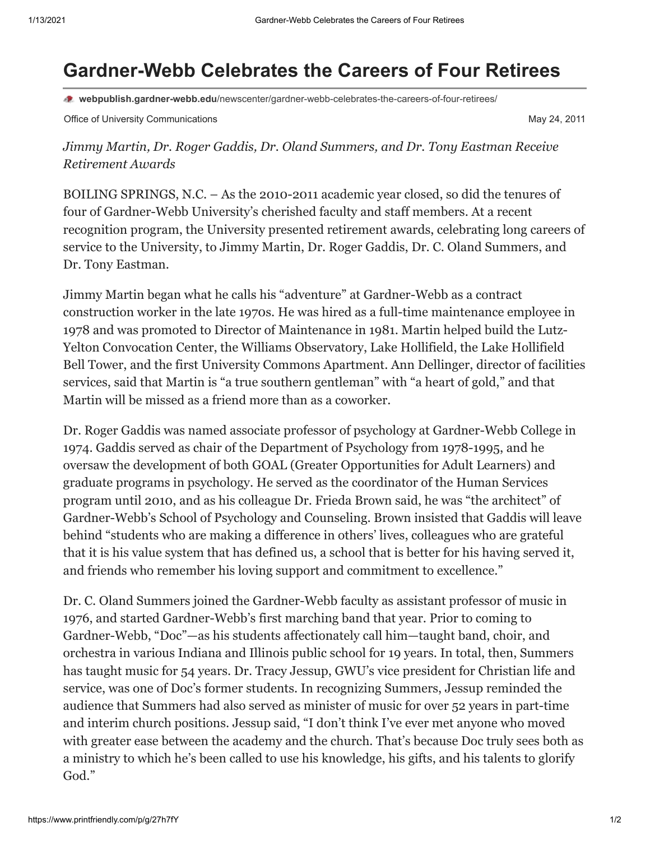# **Gardner-Webb Celebrates the Careers of Four Retirees**

**webpublish.gardner-webb.edu**[/newscenter/gardner-webb-celebrates-the-careers-of-four-retirees/](https://webpublish.gardner-webb.edu/newscenter/gardner-webb-celebrates-the-careers-of-four-retirees/)

Office of University Communications **May 24, 2011** Communications May 24, 2011

*Jimmy Martin, Dr. Roger Gaddis, Dr. Oland Summers, and Dr. Tony Eastman Receive Retirement Awards*

BOILING SPRINGS, N.C. – As the 2010-2011 academic year closed, so did the tenures of four of Gardner-Webb University's cherished faculty and staff members. At a recent recognition program, the University presented retirement awards, celebrating long careers of service to the University, to Jimmy Martin, Dr. Roger Gaddis, Dr. C. Oland Summers, and Dr. Tony Eastman.

Jimmy Martin began what he calls his "adventure" at Gardner-Webb as a contract construction worker in the late 1970s. He was hired as a full-time maintenance employee in 1978 and was promoted to Director of Maintenance in 1981. Martin helped build the Lutz-Yelton Convocation Center, the Williams Observatory, Lake Hollifield, the Lake Hollifield Bell Tower, and the first University Commons Apartment. Ann Dellinger, director of facilities services, said that Martin is "a true southern gentleman" with "a heart of gold," and that Martin will be missed as a friend more than as a coworker.

Dr. Roger Gaddis was named associate professor of psychology at Gardner-Webb College in 1974. Gaddis served as chair of the Department of Psychology from 1978-1995, and he oversaw the development of both GOAL (Greater Opportunities for Adult Learners) and graduate programs in psychology. He served as the coordinator of the Human Services program until 2010, and as his colleague Dr. Frieda Brown said, he was "the architect" of Gardner-Webb's School of Psychology and Counseling. Brown insisted that Gaddis will leave behind "students who are making a difference in others' lives, colleagues who are grateful that it is his value system that has defined us, a school that is better for his having served it, and friends who remember his loving support and commitment to excellence."

Dr. C. Oland Summers joined the Gardner-Webb faculty as assistant professor of music in 1976, and started Gardner-Webb's first marching band that year. Prior to coming to Gardner-Webb, "Doc"—as his students affectionately call him—taught band, choir, and orchestra in various Indiana and Illinois public school for 19 years. In total, then, Summers has taught music for 54 years. Dr. Tracy Jessup, GWU's vice president for Christian life and service, was one of Doc's former students. In recognizing Summers, Jessup reminded the audience that Summers had also served as minister of music for over 52 years in part-time and interim church positions. Jessup said, "I don't think I've ever met anyone who moved with greater ease between the academy and the church. That's because Doc truly sees both as a ministry to which he's been called to use his knowledge, his gifts, and his talents to glorify God."